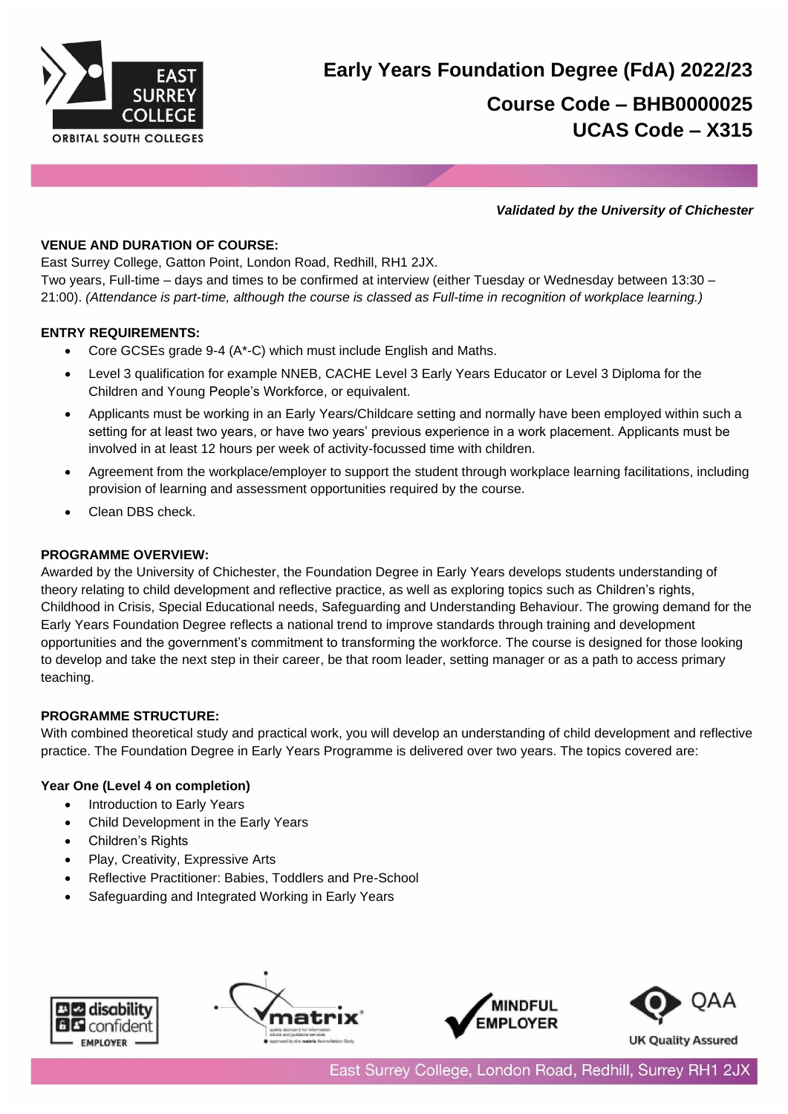

# **Early Years Foundation Degree (FdA) 2022/23 Course Code – BHB0000025 UCAS Code – X315**

#### *Validated by the University of Chichester*

## **VENUE AND DURATION OF COURSE:**

East Surrey College, Gatton Point, London Road, Redhill, RH1 2JX.

Two years, Full-time – days and times to be confirmed at interview (either Tuesday or Wednesday between 13:30 – 21:00). *(Attendance is part-time, although the course is classed as Full-time in recognition of workplace learning.)*

## **ENTRY REQUIREMENTS:**

- Core GCSEs grade 9-4 (A\*-C) which must include English and Maths.
- Level 3 qualification for example NNEB, CACHE Level 3 Early Years Educator or Level 3 Diploma for the Children and Young People's Workforce, or equivalent.
- Applicants must be working in an Early Years/Childcare setting and normally have been employed within such a setting for at least two years, or have two years' previous experience in a work placement. Applicants must be involved in at least 12 hours per week of activity-focussed time with children.
- Agreement from the workplace/employer to support the student through workplace learning facilitations, including provision of learning and assessment opportunities required by the course.
- Clean DBS check.

## **PROGRAMME OVERVIEW:**

Awarded by the University of Chichester, the Foundation Degree in Early Years develops students understanding of theory relating to child development and reflective practice, as well as exploring topics such as Children's rights, Childhood in Crisis, Special Educational needs, Safeguarding and Understanding Behaviour. The growing demand for the Early Years Foundation Degree reflects a national trend to improve standards through training and development opportunities and the government's commitment to transforming the workforce. The course is designed for those looking to develop and take the next step in their career, be that room leader, setting manager or as a path to access primary teaching.

### **PROGRAMME STRUCTURE:**

With combined theoretical study and practical work, you will develop an understanding of child development and reflective practice. The Foundation Degree in Early Years Programme is delivered over two years. The topics covered are:

### **Year One (Level 4 on completion)**

- Introduction to Early Years
- Child Development in the Early Years
- Children's Rights
- Play, Creativity, Expressive Arts
- Reflective Practitioner: Babies, Toddlers and Pre-School
- Safeguarding and Integrated Working in Early Years